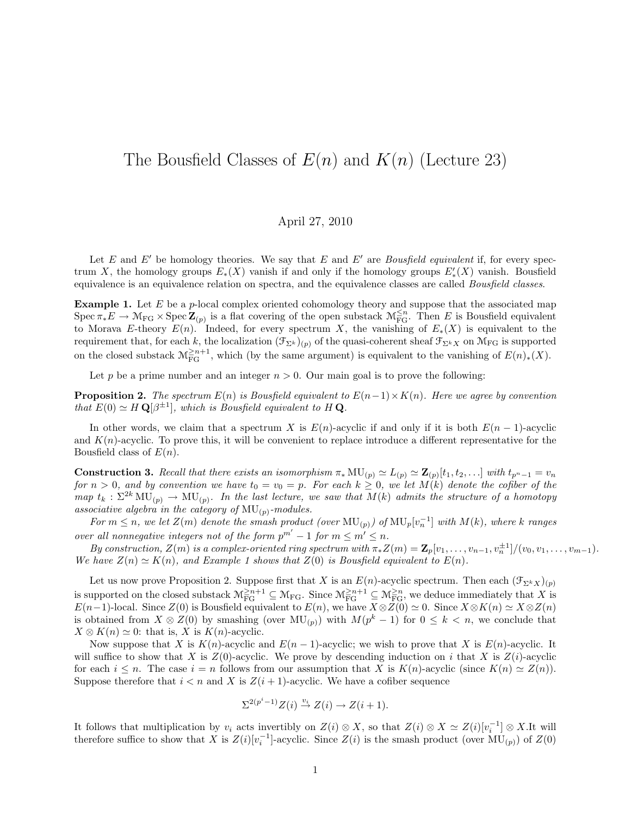## The Bousfield Classes of  $E(n)$  and  $K(n)$  (Lecture 23)

## April 27, 2010

Let E and E' be homology theories. We say that E and E' are Bousfield equivalent if, for every spectrum X, the homology groups  $E_*(X)$  vanish if and only if the homology groups  $E'_*(X)$  vanish. Bousfield equivalence is an equivalence relation on spectra, and the equivalence classes are called Bousfield classes.

**Example 1.** Let  $E$  be a  $p$ -local complex oriented cohomology theory and suppose that the associated map  $Spec \pi_*E \to \mathcal{M}_{FG} \times Spec \mathbb{Z}_{(p)}$  is a flat covering of the open substack  $\mathcal{M}_{FG}^{\leq n}$ . Then E is Bousfield equivalent to Morava E-theory  $E(n)$ . Indeed, for every spectrum X, the vanishing of  $E_*(X)$  is equivalent to the requirement that, for each k, the localization  $(\mathcal{F}_{\Sigma^k})_{(p)}$  of the quasi-coherent sheaf  $\mathcal{F}_{\Sigma^k X}$  on  $\mathcal{M}_{\mathrm{FG}}$  is supported on the closed substack  $\mathcal{M}_{\text{FG}}^{\geq n+1}$ , which (by the same argument) is equivalent to the vanishing of  $E(n)_{*}(X)$ .

Let p be a prime number and an integer  $n > 0$ . Our main goal is to prove the following:

**Proposition 2.** The spectrum  $E(n)$  is Bousfield equivalent to  $E(n-1)\times K(n)$ . Here we agree by convention that  $E(0) \simeq H \mathbf{Q}[\beta^{\pm 1}]$ , which is Bousfield equivalent to H **Q**.

In other words, we claim that a spectrum X is  $E(n)$ -acyclic if and only if it is both  $E(n-1)$ -acyclic and  $K(n)$ -acyclic. To prove this, it will be convenient to replace introduce a different representative for the Bousfield class of  $E(n)$ .

**Construction 3.** Recall that there exists an isomorphism  $\pi_* \text{MU}_{(p)} \simeq L_{(p)} \simeq \mathbb{Z}_{(p)}[t_1, t_2, \ldots]$  with  $t_{p^n-1} = v_n$ for  $n > 0$ , and by convention we have  $t_0 = v_0 = p$ . For each  $k \geq 0$ , we let  $M(k)$  denote the cofiber of the map  $t_k : \Sigma^{2k} MU_{(p)} \to MU_{(p)}$ . In the last lecture, we saw that  $M(k)$  admits the structure of a homotopy associative algebra in the category of  $MU_{(p)}$ -modules.

For  $m \leq n$ , we let  $Z(m)$  denote the smash product (over  $\text{MU}_{(p)})$  of  $\text{MU}_{p}[v_{n}^{-1}]$  with  $M(k)$ , where k ranges over all nonnegative integers not of the form  $p^{m'} - 1$  for  $m \leq m' \leq n$ .

By construction,  $Z(m)$  is a complex-oriented ring spectrum with  $\pi_* Z(m) = \mathbf{Z}_p[v_1, \ldots, v_{n-1}, v_n^{\pm 1}]/(v_0, v_1, \ldots, v_{m-1}).$ We have  $Z(n) \simeq K(n)$ , and Example 1 shows that  $Z(0)$  is Bousfield equivalent to  $E(n)$ .

Let us now prove Proposition 2. Suppose first that X is an  $E(n)$ -acyclic spectrum. Then each  $(\mathcal{F}_{\Sigma^k X})_{(p)}$ is supported on the closed substack  $M_{\text{FG}}^{\geq n+1} \subseteq M_{\text{FG}}$ . Since  $M_{\text{FG}}^{\geq n+1} \subseteq M_{\text{FG}}^{\geq n}$ , we deduce immediately that X is  $E(n-1)$ -local. Since  $Z(0)$  is Bousfield equivalent to  $E(n)$ , we have  $X \otimes Z(0) \simeq 0$ . Since  $X \otimes K(n) \simeq X \otimes Z(n)$ is obtained from  $X \otimes Z(0)$  by smashing (over  $MU(p)$ ) with  $M(p^k-1)$  for  $0 \leq k \leq n$ , we conclude that  $X \otimes K(n) \simeq 0$ : that is, X is  $K(n)$ -acyclic.

Now suppose that X is  $K(n)$ -acyclic and  $E(n-1)$ -acyclic; we wish to prove that X is  $E(n)$ -acyclic. It will suffice to show that X is  $Z(0)$ -acyclic. We prove by descending induction on i that X is  $Z(i)$ -acyclic for each  $i \leq n$ . The case  $i = n$  follows from our assumption that X is  $K(n)$ -acyclic (since  $K(n) \simeq Z(n)$ ). Suppose therefore that  $i < n$  and X is  $Z(i + 1)$ -acyclic. We have a cofiber sequence

$$
\Sigma^{2(p^i-1)}Z(i) \stackrel{v_i}{\rightarrow} Z(i) \rightarrow Z(i+1).
$$

It follows that multiplication by  $v_i$  acts invertibly on  $Z(i) \otimes X$ , so that  $Z(i) \otimes X \simeq Z(i)[v_i^{-1}] \otimes X$ . It will therefore suffice to show that X is  $Z(i)[v_i^{-1}]$ -acyclic. Since  $Z(i)$  is the smash product (over  $MU_{(p)}$ ) of  $Z(0)$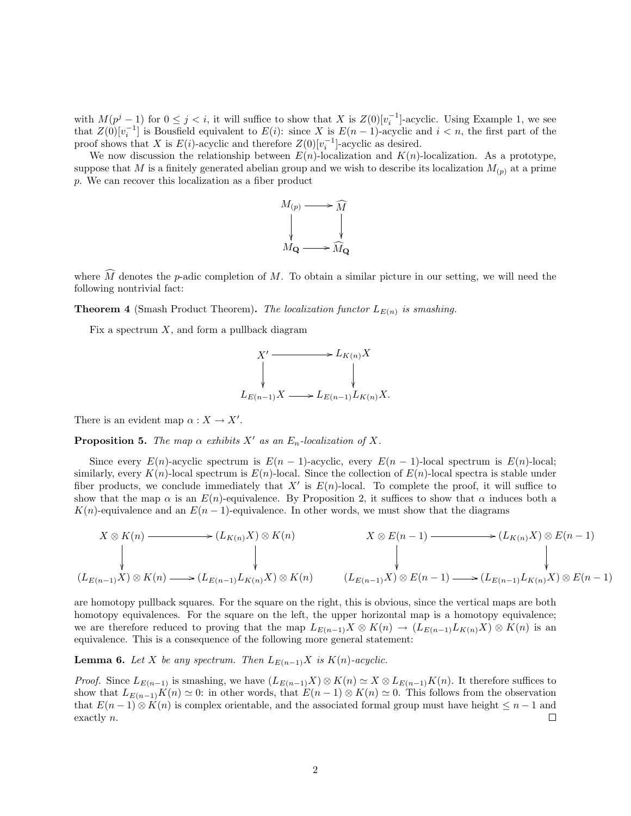with  $M(p^j-1)$  for  $0 \leq j < i$ , it will suffice to show that X is  $Z(0)[v_i^{-1}]$ -acyclic. Using Example 1, we see that  $Z(0)[v_i^{-1}]$  is Bousfield equivalent to  $E(i)$ : since X is  $E(n-1)$ -acyclic and  $i < n$ , the first part of the proof shows that X is  $E(i)$ -acyclic and therefore  $Z(0)[v_i^{-1}]$ -acyclic as desired.

We now discussion the relationship between  $E(n)$ -localization and  $K(n)$ -localization. As a prototype, suppose that M is a finitely generated abelian group and we wish to describe its localization  $M_{(p)}$  at a prime p. We can recover this localization as a fiber product



where  $\widehat{M}$  denotes the p-adic completion of M. To obtain a similar picture in our setting, we will need the following nontrivial fact:

**Theorem 4** (Smash Product Theorem). The localization functor  $L_{E(n)}$  is smashing.

Fix a spectrum  $X$ , and form a pullback diagram



There is an evident map  $\alpha: X \to X'$ .

**Proposition 5.** The map  $\alpha$  exhibits X' as an  $E_n$ -localization of X.

Since every  $E(n)$ -acyclic spectrum is  $E(n - 1)$ -acyclic, every  $E(n - 1)$ -local spectrum is  $E(n)$ -local; similarly, every  $K(n)$ -local spectrum is  $E(n)$ -local. Since the collection of  $E(n)$ -local spectra is stable under fiber products, we conclude immediately that  $X'$  is  $E(n)$ -local. To complete the proof, it will suffice to show that the map  $\alpha$  is an  $E(n)$ -equivalence. By Proposition 2, it suffices to show that  $\alpha$  induces both a K(n)-equivalence and an  $E(n-1)$ -equivalence. In other words, we must show that the diagrams

$$
X \otimes K(n) \longrightarrow (L_{K(n)}X) \otimes K(n) \qquad X \otimes E(n-1) \longrightarrow (L_{K(n)}X) \otimes E(n-1)
$$
\n
$$
\downarrow \qquad \qquad \downarrow \qquad \qquad \downarrow
$$
\n
$$
(L_{E(n-1)}X) \otimes K(n) \longrightarrow (L_{E(n-1)}L_{K(n)}X) \otimes K(n) \qquad (L_{E(n-1)}X) \otimes E(n-1) \longrightarrow (L_{E(n-1)}L_{K(n)}X) \otimes E(n-1)
$$

are homotopy pullback squares. For the square on the right, this is obvious, since the vertical maps are both homotopy equivalences. For the square on the left, the upper horizontal map is a homotopy equivalence; we are therefore reduced to proving that the map  $L_{E(n-1)}X \otimes K(n) \to (L_{E(n-1)}L_{K(n)}X) \otimes K(n)$  is an equivalence. This is a consequence of the following more general statement:

**Lemma 6.** Let X be any spectrum. Then  $L_{E(n-1)}X$  is  $K(n)$ -acyclic.

*Proof.* Since  $L_{E(n-1)}$  is smashing, we have  $(L_{E(n-1)}X) \otimes K(n) \simeq X \otimes L_{E(n-1)}K(n)$ . It therefore suffices to show that  $L_{E(n-1)}K(n) \simeq 0$ : in other words, that  $E(n-1) \otimes K(n) \simeq 0$ . This follows from the observation that  $E(n-1) \otimes K(n)$  is complex orientable, and the associated formal group must have height  $\leq n-1$  and exactly n.  $\Box$